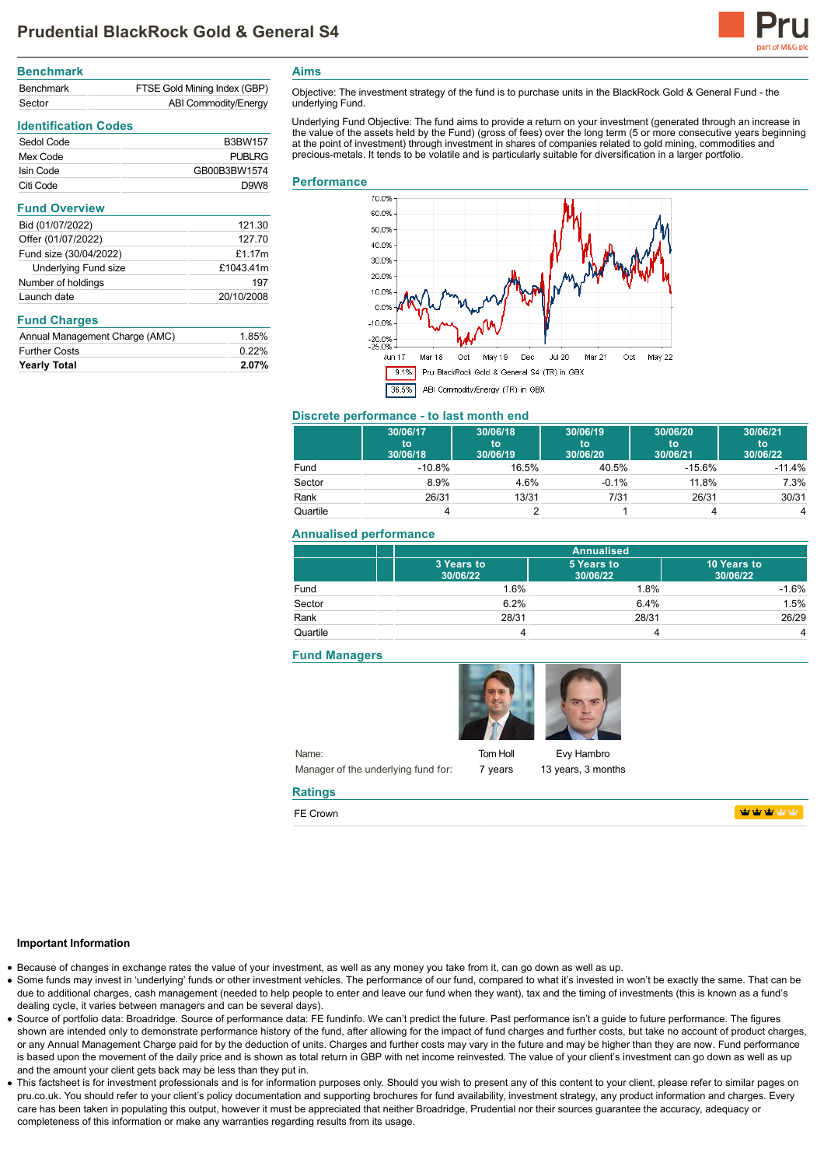

| <b>Benchmark</b> |                              |
|------------------|------------------------------|
| Benchmark        | FTSE Gold Mining Index (GBP) |
| Sector           | ABI Commodity/Energy         |

# **Identification Codes**

| Sedol Code | <b>B3BW157</b>    |
|------------|-------------------|
| Mex Code   | PUBLRG            |
| Isin Code  | GB00B3BW1574      |
| Citi Code  | D.9W <sub>8</sub> |

#### **Fund Overview**

| Bid (01/07/2022)            | 121.30     |
|-----------------------------|------------|
| Offer (01/07/2022)          | 127.70     |
| Fund size (30/04/2022)      | £1.17 $m$  |
| <b>Underlying Fund size</b> | £1043.41m  |
| Number of holdings          | 197        |
| Launch date                 | 20/10/2008 |

# **Fund Charges**

| <b>Yearly Total</b>            | 2.07% |
|--------------------------------|-------|
| <b>Further Costs</b>           | 0.22% |
| Annual Management Charge (AMC) | 1.85% |

**Aims**

Objective: The investment strategy of the fund is to purchase units in the BlackRock Gold & General Fund - the underlying Fund.

Underlying Fund Objective: The fund aims to provide a return on your investment (generated through an increase in the value of the assets held by the Fund) (gross of fees) over the long term (5 or more consecutive years beginning at the point of investment) through investment in shares of companies related to gold mining, commodities and precious-metals. It tends to be volatile and is particularly suitable for diversification in a larger portfolio.

#### **Performance**



# **Discrete performance - to last month end**

|          | 30/06/17<br>to<br>30/06/18 | 30/06/18<br>to<br>30/06/19 | 30/06/19<br>to<br>30/06/20 | 30/06/20<br>'to<br>30/06/21 | 30/06/21<br>to<br>30/06/22 |
|----------|----------------------------|----------------------------|----------------------------|-----------------------------|----------------------------|
| Fund     | $-10.8%$                   | 16.5%                      | 40.5%                      | $-15.6%$                    | $-11.4%$                   |
| Sector   | 8.9%                       | 4.6%                       | $-0.1%$                    | 11.8%                       | 7.3%                       |
| Rank     | 26/31                      | 13/31                      | 7/31                       | 26/31                       | 30/31                      |
| Quartile |                            |                            |                            |                             | 4                          |

# **Annualised performance**

|          | <b>Annualised</b>      |                        |                         |
|----------|------------------------|------------------------|-------------------------|
|          | 3 Years to<br>30/06/22 | 5 Years to<br>30/06/22 | 10 Years to<br>30/06/22 |
| Fund     | 1.6%                   | 1.8%                   | $-1.6%$                 |
| Sector   | 6.2%                   | 6.4%                   | 1.5%                    |
| Rank     | 28/31                  | 28/31                  | 26/29                   |
| Quartile |                        |                        | 4                       |

#### **Fund Managers**



Tom Holl 7 years

Evy Hambro 13 years, 3 months

# **WWWWW**

# **Important Information**

Because of changes in exchange rates the value of your investment, as well as any money you take from it, can go down as well as up.

**Ratings** FE Crown

- Some funds may invest in 'underlying' funds or other investment vehicles. The performance of our fund, compared to what it's invested in won't be exactly the same. That can be due to additional charges, cash management (needed to help people to enter and leave our fund when they want), tax and the timing of investments (this is known as a fund's dealing cycle, it varies between managers and can be several days).
- Source of portfolio data: Broadridge. Source of performance data: FE fundinfo. We can't predict the future. Past performance isn't a guide to future performance. The figures shown are intended only to demonstrate performance history of the fund, after allowing for the impact of fund charges and further costs, but take no account of product charges, or any Annual Management Charge paid for by the deduction of units. Charges and further costs may vary in the future and may be higher than they are now. Fund performance is based upon the movement of the daily price and is shown as total return in GBP with net income reinvested. The value of your client's investment can go down as well as up and the amount your client gets back may be less than they put in.
- This factsheet is for investment professionals and is for information purposes only. Should you wish to present any of this content to your client, please refer to similar pages on pru.co.uk. You should refer to your client's policy documentation and supporting brochures for fund availability, investment strategy, any product information and charges. Every care has been taken in populating this output, however it must be appreciated that neither Broadridge, Prudential nor their sources guarantee the accuracy, adequacy or completeness of this information or make any warranties regarding results from its usage.